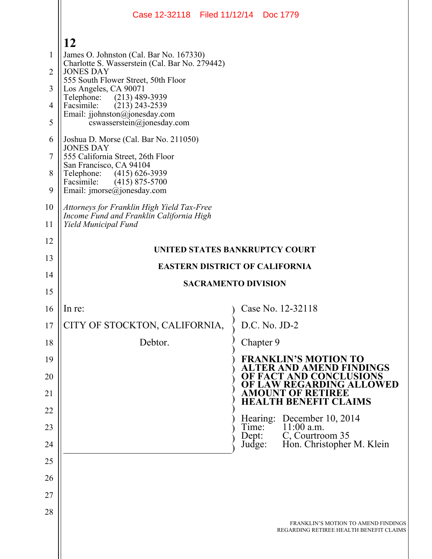|                                                 | Case 12-32118 Filed 11/12/14 Doc 1779                                                                                                                                                                                                                                                                                                                                                                                                                                                                                                                                                                          |                                                                                      |  |
|-------------------------------------------------|----------------------------------------------------------------------------------------------------------------------------------------------------------------------------------------------------------------------------------------------------------------------------------------------------------------------------------------------------------------------------------------------------------------------------------------------------------------------------------------------------------------------------------------------------------------------------------------------------------------|--------------------------------------------------------------------------------------|--|
| 1<br>2<br>3<br>4<br>5<br>6<br>7<br>8<br>9<br>10 | 12<br>James O. Johnston (Cal. Bar No. 167330)<br>Charlotte S. Wasserstein (Cal. Bar No. 279442)<br><b>JONES DAY</b><br>555 South Flower Street, 50th Floor<br>Los Angeles, CA 90071<br>Telephone:<br>(213) 489-3939<br>$(213)$ 243-2539<br>Facsimile:<br>Email: jjohnston@jonesday.com<br>cswasserstein@jonesday.com<br>Joshua D. Morse (Cal. Bar No. 211050)<br><b>JONES DAY</b><br>555 California Street, 26th Floor<br>San Francisco, CA 94104<br>Telephone: (415) 626-3939<br>$(415)$ 875-5700<br>Facsimile:<br>Email: $\text{imorse}(\hat{a})$ jonesday.com<br>Attorneys for Franklin High Yield Tax-Free |                                                                                      |  |
| 11                                              | Income Fund and Franklin California High<br>Yield Municipal Fund                                                                                                                                                                                                                                                                                                                                                                                                                                                                                                                                               |                                                                                      |  |
| 12<br>13<br>14<br>15                            | UNITED STATES BANKRUPTCY COURT<br><b>EASTERN DISTRICT OF CALIFORNIA</b><br><b>SACRAMENTO DIVISION</b>                                                                                                                                                                                                                                                                                                                                                                                                                                                                                                          |                                                                                      |  |
| 16                                              | In re:                                                                                                                                                                                                                                                                                                                                                                                                                                                                                                                                                                                                         | Case No. 12-32118                                                                    |  |
|                                                 |                                                                                                                                                                                                                                                                                                                                                                                                                                                                                                                                                                                                                |                                                                                      |  |
| 17                                              | CITY OF STOCKTON, CALIFORNIA,                                                                                                                                                                                                                                                                                                                                                                                                                                                                                                                                                                                  | D.C. No. JD-2                                                                        |  |
| 18                                              | Debtor.                                                                                                                                                                                                                                                                                                                                                                                                                                                                                                                                                                                                        | Chapter 9                                                                            |  |
| 19                                              |                                                                                                                                                                                                                                                                                                                                                                                                                                                                                                                                                                                                                | <b>FRANKLIN'S MOTION TO</b>                                                          |  |
| 20                                              |                                                                                                                                                                                                                                                                                                                                                                                                                                                                                                                                                                                                                | <b>ALTER AND AMEND FINDINGS</b><br>OF FACT AND CONCLUSIONS                           |  |
| 21                                              |                                                                                                                                                                                                                                                                                                                                                                                                                                                                                                                                                                                                                | OF LAW REGARDING ALLOWED<br><b>AMOUNT OF RETIREE</b><br><b>HEALTH BENEFIT CLAIMS</b> |  |
| 22                                              |                                                                                                                                                                                                                                                                                                                                                                                                                                                                                                                                                                                                                | Hearing:                                                                             |  |
| 23                                              |                                                                                                                                                                                                                                                                                                                                                                                                                                                                                                                                                                                                                | December 10, 2014<br>11:00 a.m.<br>Time:<br>C, Courtroom 35<br>Dept:                 |  |
| 24                                              |                                                                                                                                                                                                                                                                                                                                                                                                                                                                                                                                                                                                                | Hon. Christopher M. Klein<br>Judge:                                                  |  |
| 25                                              |                                                                                                                                                                                                                                                                                                                                                                                                                                                                                                                                                                                                                |                                                                                      |  |
| 26<br>27                                        |                                                                                                                                                                                                                                                                                                                                                                                                                                                                                                                                                                                                                |                                                                                      |  |
| 28                                              |                                                                                                                                                                                                                                                                                                                                                                                                                                                                                                                                                                                                                |                                                                                      |  |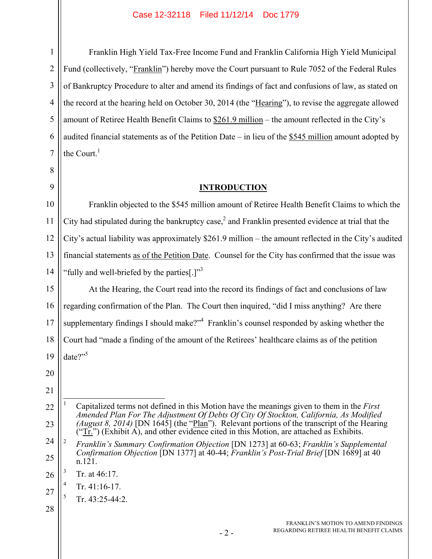1 2 3 4 5 6 7 Franklin High Yield Tax-Free Income Fund and Franklin California High Yield Municipal Fund (collectively, "Franklin") hereby move the Court pursuant to Rule 7052 of the Federal Rules of Bankruptcy Procedure to alter and amend its findings of fact and confusions of law, as stated on the record at the hearing held on October 30, 2014 (the "Hearing"), to revise the aggregate allowed amount of Retiree Health Benefit Claims to \$261.9 million – the amount reflected in the City's audited financial statements as of the Petition Date – in lieu of the \$545 million amount adopted by the Court. $<sup>1</sup>$ </sup>

# **INTRODUCTION**

10 11 12 13 14 Franklin objected to the \$545 million amount of Retiree Health Benefit Claims to which the City had stipulated during the bankruptcy case,<sup>2</sup> and Franklin presented evidence at trial that the City's actual liability was approximately \$261.9 million – the amount reflected in the City's audited financial statements as of the Petition Date. Counsel for the City has confirmed that the issue was "fully and well-briefed by the parties[.]" $3$ 

15 16 17 18 19 At the Hearing, the Court read into the record its findings of fact and conclusions of law regarding confirmation of the Plan. The Court then inquired, "did I miss anything? Are there supplementary findings I should make?"<sup>4</sup> Franklin's counsel responded by asking whether the Court had "made a finding of the amount of the Retirees' healthcare claims as of the petition date?"<sup>5</sup>

20

8

9

- 5 Tr. 43:25-44:2.
- 28

<sup>22</sup> 23  $\overline{a}$ 1 Capitalized terms not defined in this Motion have the meanings given to them in the *First Amended Plan For The Adjustment Of Debts Of City Of Stockton, California, As Modified (August 8, 2014)* [DN 1645] (the "Plan"). Relevant portions of the transcript of the Hearing  $($ "Tr.") (Exhibit A), and other evidence cited in this Motion, are attached as Exhibits.

<sup>24</sup> 25 2 *Franklin's Summary Confirmation Objection* [DN 1273] at 60-63; *Franklin's Supplemental Confirmation Objection* [DN 1377] at 40-44; *Franklin's Post-Trial Brief* [DN 1689] at 40 n.121.

<sup>26</sup> 3 Tr. at 46:17.

<sup>27</sup> 4 Tr. 41:16-17.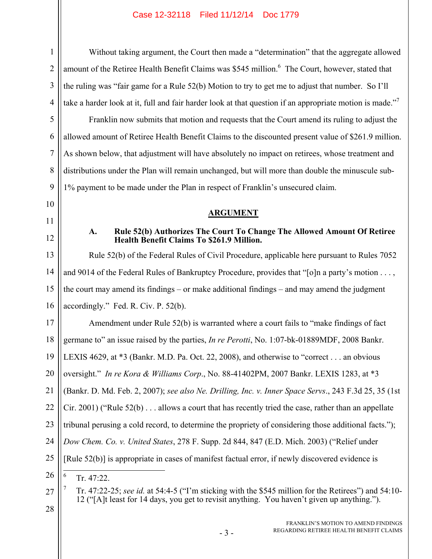| $\mathbf{1}$   | Without taking argument, the Court then made a "determination" that the aggregate allowed                                                                                                          |
|----------------|----------------------------------------------------------------------------------------------------------------------------------------------------------------------------------------------------|
| $\overline{2}$ | amount of the Retiree Health Benefit Claims was \$545 million. <sup>6</sup> The Court, however, stated that                                                                                        |
| 3              | the ruling was "fair game for a Rule 52(b) Motion to try to get me to adjust that number. So I'll                                                                                                  |
| $\overline{4}$ | take a harder look at it, full and fair harder look at that question if an appropriate motion is made." <sup>7</sup>                                                                               |
| 5              | Franklin now submits that motion and requests that the Court amend its ruling to adjust the                                                                                                        |
| 6              | allowed amount of Retiree Health Benefit Claims to the discounted present value of \$261.9 million.                                                                                                |
| 7              | As shown below, that adjustment will have absolutely no impact on retirees, whose treatment and                                                                                                    |
| 8              | distributions under the Plan will remain unchanged, but will more than double the minuscule sub-                                                                                                   |
| 9              | 1% payment to be made under the Plan in respect of Franklin's unsecured claim.                                                                                                                     |
| 10             |                                                                                                                                                                                                    |
| 11             | <b>ARGUMENT</b>                                                                                                                                                                                    |
| 12             | Rule 52(b) Authorizes The Court To Change The Allowed Amount Of Retiree<br>A.<br><b>Health Benefit Claims To \$261.9 Million.</b>                                                                  |
| 13             | Rule 52(b) of the Federal Rules of Civil Procedure, applicable here pursuant to Rules 7052                                                                                                         |
| 14             | and 9014 of the Federal Rules of Bankruptcy Procedure, provides that "[o]n a party's motion ,                                                                                                      |
| 15             | the court may amend its findings – or make additional findings – and may amend the judgment                                                                                                        |
| 16             | accordingly." Fed. R. Civ. P. $52(b)$ .                                                                                                                                                            |
| 17             | Amendment under Rule 52(b) is warranted where a court fails to "make findings of fact                                                                                                              |
| 18             | germane to" an issue raised by the parties, <i>In re Perotti</i> , No. 1:07-bk-01889MDF, 2008 Bankr.                                                                                               |
|                | 19    LEXIS 4629, at *3 (Bankr. M.D. Pa. Oct. 22, 2008), and otherwise to "correct an obvious                                                                                                      |
| 20             | oversight." In re Kora & Williams Corp., No. 88-41402PM, 2007 Bankr. LEXIS 1283, at *3                                                                                                             |
| 21             | (Bankr. D. Md. Feb. 2, 2007); see also Ne. Drilling, Inc. v. Inner Space Servs., 243 F.3d 25, 35 (1st                                                                                              |
| 22             | $C$ ir. 2001) ("Rule 52(b) $\ldots$ allows a court that has recently tried the case, rather than an appellate                                                                                      |
| 23             | tribunal perusing a cold record, to determine the propriety of considering those additional facts.");                                                                                              |
| 24             | Dow Chem. Co. v. United States, 278 F. Supp. 2d 844, 847 (E.D. Mich. 2003) ("Relief under                                                                                                          |
| 25             | [Rule 52(b)] is appropriate in cases of manifest factual error, if newly discovered evidence is                                                                                                    |
| 26             | 6<br>Tr. 47:22.                                                                                                                                                                                    |
| 27<br>28       | Tr. 47:22-25; see id. at 54:4-5 ("I'm sticking with the \$545 million for the Retirees") and 54:10-<br>12 ("[A]t least for 14 days, you get to revisit anything. You haven't given up anything."). |
|                |                                                                                                                                                                                                    |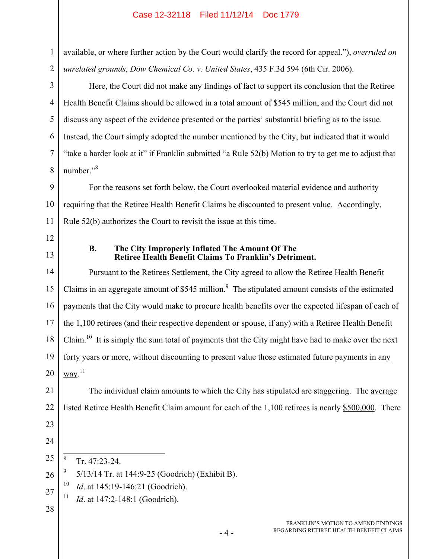Here, the Court did not make any findings of fact to support its conclusion that the Retiree Health Benefit Claims should be allowed in a total amount of \$545 million, and the Court did not discuss any aspect of the evidence presented or the parties' substantial briefing as to the issue. Instead, the Court simply adopted the number mentioned by the City, but indicated that it would "take a harder look at it" if Franklin submitted "a Rule 52(b) Motion to try to get me to adjust that number."<sup>8</sup>

9 10 11 For the reasons set forth below, the Court overlooked material evidence and authority requiring that the Retiree Health Benefit Claims be discounted to present value. Accordingly, Rule 52(b) authorizes the Court to revisit the issue at this time.

12

1

2

3

4

5

6

7

8

13

## **B. The City Improperly Inflated The Amount Of The Retiree Health Benefit Claims To Franklin's Detriment.**

14 15 16 17 18 19 20 Pursuant to the Retirees Settlement, the City agreed to allow the Retiree Health Benefit Claims in an aggregate amount of \$545 million. $9\text{ }$  The stipulated amount consists of the estimated payments that the City would make to procure health benefits over the expected lifespan of each of the 1,100 retirees (and their respective dependent or spouse, if any) with a Retiree Health Benefit Claim.<sup>10</sup> It is simply the sum total of payments that the City might have had to make over the next forty years or more, without discounting to present value those estimated future payments in any way. $^{11}$ 

21 22 The individual claim amounts to which the City has stipulated are staggering. The average listed Retiree Health Benefit Claim amount for each of the 1,100 retirees is nearly \$500,000. There

- 23
- 24

25

 $\frac{1}{8}$ 

Tr. 47:23-24.

26 9 5/13/14 Tr. at 144:9-25 (Goodrich) (Exhibit B).

<sup>10</sup> *Id.* at 145:19-146:21 (Goodrich).

<sup>11</sup> *Id.* at 147:2-148:1 (Goodrich).

28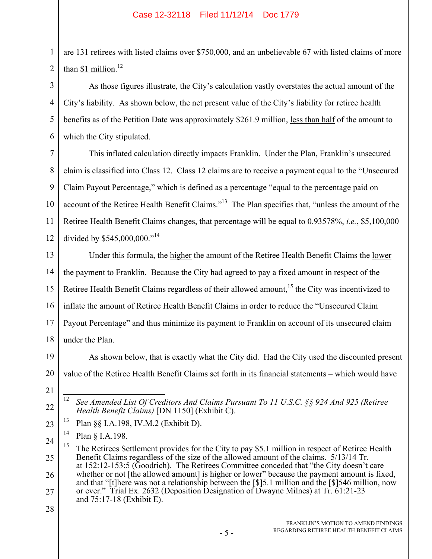1 2 are 131 retirees with listed claims over \$750,000, and an unbelievable 67 with listed claims of more than  $$1$  million.<sup>12</sup>

As those figures illustrate, the City's calculation vastly overstates the actual amount of the City's liability. As shown below, the net present value of the City's liability for retiree health benefits as of the Petition Date was approximately \$261.9 million, less than half of the amount to which the City stipulated.

7 8 9 10 11 12 This inflated calculation directly impacts Franklin. Under the Plan, Franklin's unsecured claim is classified into Class 12. Class 12 claims are to receive a payment equal to the "Unsecured Claim Payout Percentage," which is defined as a percentage "equal to the percentage paid on account of the Retiree Health Benefit Claims."<sup>13</sup> The Plan specifies that, "unless the amount of the Retiree Health Benefit Claims changes, that percentage will be equal to 0.93578%, *i.e.*, \$5,100,000 divided by \$545,000,000."<sup>14</sup>

13 14 15 16 17 18 Under this formula, the higher the amount of the Retiree Health Benefit Claims the lower the payment to Franklin. Because the City had agreed to pay a fixed amount in respect of the Retiree Health Benefit Claims regardless of their allowed amount,<sup>15</sup> the City was incentivized to inflate the amount of Retiree Health Benefit Claims in order to reduce the "Unsecured Claim Payout Percentage" and thus minimize its payment to Franklin on account of its unsecured claim under the Plan.

19 20 As shown below, that is exactly what the City did. Had the City used the discounted present value of the Retiree Health Benefit Claims set forth in its financial statements – which would have

21

22

3

4

5

6

23 13 Plan §§ I.A.198, IV.M.2 (Exhibit D).

 $14$  Plan  $\delta$  I.A.198.

 $\overline{12}$ 12 *See Amended List Of Creditors And Claims Pursuant To 11 U.S.C. §§ 924 And 925 (Retiree Health Benefit Claims)* [DN 1150] (Exhibit C).

<sup>24</sup> 25 26 27 <sup>15</sup> The Retirees Settlement provides for the City to pay \$5.1 million in respect of Retiree Health Benefit Claims regardless of the size of the allowed amount of the claims. 5/13/14 Tr. at 152:12-153:5 (Goodrich). The Retirees Committee conceded that "the City doesn't care whether or not [the allowed amount] is higher or lower" because the payment amount is fixed, and that "[t]here was not a relationship between the [\$]5.1 million and the [\$]546 million, now or ever." Trial Ex. 2632 (Deposition Designation of Dwayne Milnes) at Tr. 61:21-23 and 75:17-18 (Exhibit E).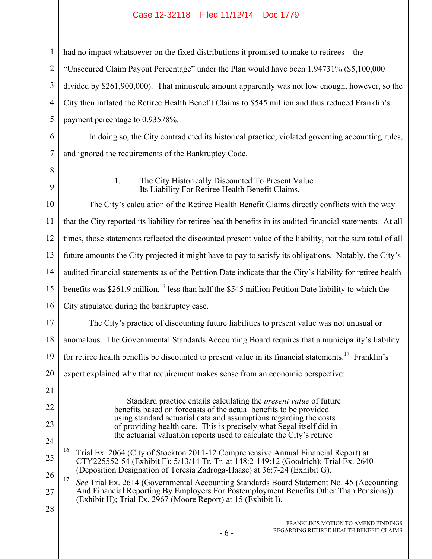had no impact whatsoever on the fixed distributions it promised to make to retirees – the "Unsecured Claim Payout Percentage" under the Plan would have been 1.94731% (\$5,100,000 divided by \$261,900,000). That minuscule amount apparently was not low enough, however, so the City then inflated the Retiree Health Benefit Claims to \$545 million and thus reduced Franklin's payment percentage to 0.93578%. In doing so, the City contradicted its historical practice, violated governing accounting rules,

7 and ignored the requirements of the Bankruptcy Code.

8

1

2

3

4

5

6

9

17

21

22

23

24

## 1. The City Historically Discounted To Present Value Its Liability For Retiree Health Benefit Claims.

10 11 12 13 14 15 16 The City's calculation of the Retiree Health Benefit Claims directly conflicts with the way that the City reported its liability for retiree health benefits in its audited financial statements. At all times, those statements reflected the discounted present value of the liability, not the sum total of all future amounts the City projected it might have to pay to satisfy its obligations. Notably, the City's audited financial statements as of the Petition Date indicate that the City's liability for retiree health benefits was \$261.9 million,<sup>16</sup> less than half the \$545 million Petition Date liability to which the City stipulated during the bankruptcy case.

The City's practice of discounting future liabilities to present value was not unusual or

18 anomalous. The Governmental Standards Accounting Board requires that a municipality's liability

19 for retiree health benefits be discounted to present value in its financial statements.<sup>17</sup> Franklin's

20 expert explained why that requirement makes sense from an economic perspective:

> Standard practice entails calculating the *present value* of future benefits based on forecasts of the actual benefits to be provided using standard actuarial data and assumptions regarding the costs of providing health care. This is precisely what Segal itself did in the actuarial valuation reports used to calculate the City's retiree

- 25  $16$ 16 Trial Ex. 2064 (City of Stockton 2011-12 Comprehensive Annual Financial Report) at CTY225552-54 (Exhibit F); 5/13/14 Tr. Tr. at 148:2-149:12 (Goodrich); Trial Ex. 2640 (Deposition Designation of Teresia Zadroga-Haase) at 36:7-24 (Exhibit G).
- 26 27 28 17 *See* Trial Ex. 2614 (Governmental Accounting Standards Board Statement No. 45 (Accounting And Financial Reporting By Employers For Postemployment Benefits Other Than Pensions) (Exhibit H); Trial Ex. 2967 (Moore Report) at 15 (Exhibit I).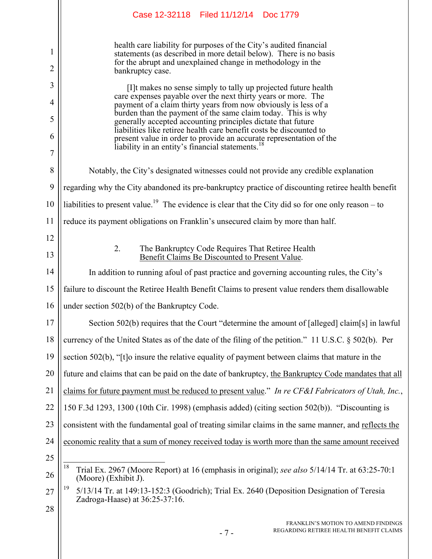|                     | Case 12-32118 Filed 11/12/14 Doc 1779                                                                                                                                                                                      |  |  |
|---------------------|----------------------------------------------------------------------------------------------------------------------------------------------------------------------------------------------------------------------------|--|--|
| 1<br>$\overline{2}$ | health care liability for purposes of the City's audited financial<br>statements (as described in more detail below). There is no basis<br>for the abrupt and unexplained change in methodology in the<br>bankruptcy case. |  |  |
| 3                   | [I]t makes no sense simply to tally up projected future health                                                                                                                                                             |  |  |
| 4                   | care expenses payable over the next thirty years or more. The<br>payment of a claim thirty years from now obviously is less of a                                                                                           |  |  |
| 5                   | burden than the payment of the same claim today. This is why<br>generally accepted accounting principles dictate that future                                                                                               |  |  |
| 6                   | liabilities like retiree health care benefit costs be discounted to<br>present value in order to provide an accurate representation of the                                                                                 |  |  |
| 7                   | liability in an entity's financial statements.                                                                                                                                                                             |  |  |
| 8                   | Notably, the City's designated witnesses could not provide any credible explanation                                                                                                                                        |  |  |
| 9                   | regarding why the City abandoned its pre-bankruptcy practice of discounting retiree health benefit                                                                                                                         |  |  |
| 10                  | liabilities to present value. <sup>19</sup> The evidence is clear that the City did so for one only reason – to                                                                                                            |  |  |
| 11                  | reduce its payment obligations on Franklin's unsecured claim by more than half.                                                                                                                                            |  |  |
| 12                  |                                                                                                                                                                                                                            |  |  |
| 13                  | 2.<br>The Bankruptcy Code Requires That Retiree Health<br>Benefit Claims Be Discounted to Present Value.                                                                                                                   |  |  |
| 14                  | In addition to running a foul of past practice and governing accounting rules, the City's                                                                                                                                  |  |  |
| 15                  | failure to discount the Retiree Health Benefit Claims to present value renders them disallowable                                                                                                                           |  |  |
| 16                  | under section 502(b) of the Bankruptcy Code.                                                                                                                                                                               |  |  |
| 17                  | Section 502(b) requires that the Court "determine the amount of [alleged] claim[s] in lawful                                                                                                                               |  |  |
| 18                  | currency of the United States as of the date of the filing of the petition." 11 U.S.C. § 502(b). Per                                                                                                                       |  |  |
| 19                  | section 502(b), "[t]o insure the relative equality of payment between claims that mature in the                                                                                                                            |  |  |
| 20                  | future and claims that can be paid on the date of bankruptcy, the Bankruptcy Code mandates that all                                                                                                                        |  |  |
| 21                  | claims for future payment must be reduced to present value." In re CF&I Fabricators of Utah, Inc.,                                                                                                                         |  |  |
| 22                  | 150 F.3d 1293, 1300 (10th Cir. 1998) (emphasis added) (citing section 502(b)). "Discounting is                                                                                                                             |  |  |
| 23                  | consistent with the fundamental goal of treating similar claims in the same manner, and reflects the                                                                                                                       |  |  |
| 24                  | economic reality that a sum of money received today is worth more than the same amount received                                                                                                                            |  |  |
| 25                  |                                                                                                                                                                                                                            |  |  |
| 26                  | 18<br>Trial Ex. 2967 (Moore Report) at 16 (emphasis in original); see also 5/14/14 Tr. at 63:25-70:1<br>(Moore) (Exhibit J).                                                                                               |  |  |
| 27                  | 19<br>5/13/14 Tr. at 149:13-152:3 (Goodrich); Trial Ex. 2640 (Deposition Designation of Teresia<br>Zadroga-Haase) at 36:25-37:16.                                                                                          |  |  |
| 28                  |                                                                                                                                                                                                                            |  |  |
|                     | FRANKLIN'S MOTION TO AMEND FINDINGS<br>REGARDING RETIREE HEALTH BENEFIT CLAIMS<br>$-7-$                                                                                                                                    |  |  |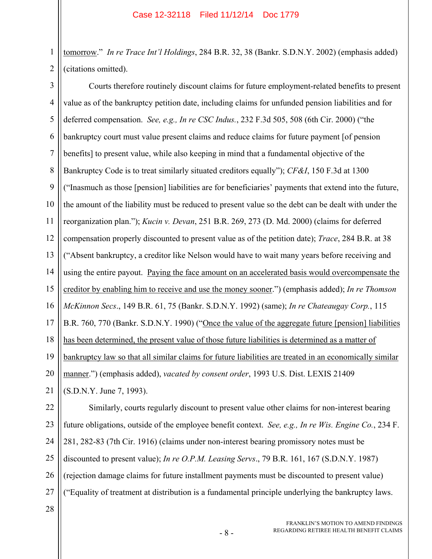1 2 tomorrow." *In re Trace Int'l Holdings*, 284 B.R. 32, 38 (Bankr. S.D.N.Y. 2002) (emphasis added) (citations omitted).

3 4 5 6 7 8 9 10 11 12 13 14 15 16 17 18 19 20 21 Courts therefore routinely discount claims for future employment-related benefits to present value as of the bankruptcy petition date, including claims for unfunded pension liabilities and for deferred compensation. *See, e.g., In re CSC Indus.*, 232 F.3d 505, 508 (6th Cir. 2000) ("the bankruptcy court must value present claims and reduce claims for future payment [of pension benefits] to present value, while also keeping in mind that a fundamental objective of the Bankruptcy Code is to treat similarly situated creditors equally"); *CF&I*, 150 F.3d at 1300 ("Inasmuch as those [pension] liabilities are for beneficiaries' payments that extend into the future, the amount of the liability must be reduced to present value so the debt can be dealt with under the reorganization plan."); *Kucin v. Devan*, 251 B.R. 269, 273 (D. Md. 2000) (claims for deferred compensation properly discounted to present value as of the petition date); *Trace*, 284 B.R. at 38 ("Absent bankruptcy, a creditor like Nelson would have to wait many years before receiving and using the entire payout. Paying the face amount on an accelerated basis would overcompensate the creditor by enabling him to receive and use the money sooner.") (emphasis added); *In re Thomson McKinnon Secs*., 149 B.R. 61, 75 (Bankr. S.D.N.Y. 1992) (same); *In re Chateaugay Corp.*, 115 B.R. 760, 770 (Bankr. S.D.N.Y. 1990) ("Once the value of the aggregate future [pension] liabilities has been determined, the present value of those future liabilities is determined as a matter of bankruptcy law so that all similar claims for future liabilities are treated in an economically similar manner.") (emphasis added), *vacated by consent order*, 1993 U.S. Dist. LEXIS 21409 (S.D.N.Y. June 7, 1993).

22 23 24 25 26 27 Similarly, courts regularly discount to present value other claims for non-interest bearing future obligations, outside of the employee benefit context. *See, e.g., In re Wis. Engine Co.*, 234 F. 281, 282-83 (7th Cir. 1916) (claims under non-interest bearing promissory notes must be discounted to present value); *In re O.P.M. Leasing Servs*., 79 B.R. 161, 167 (S.D.N.Y. 1987) (rejection damage claims for future installment payments must be discounted to present value) ("Equality of treatment at distribution is a fundamental principle underlying the bankruptcy laws.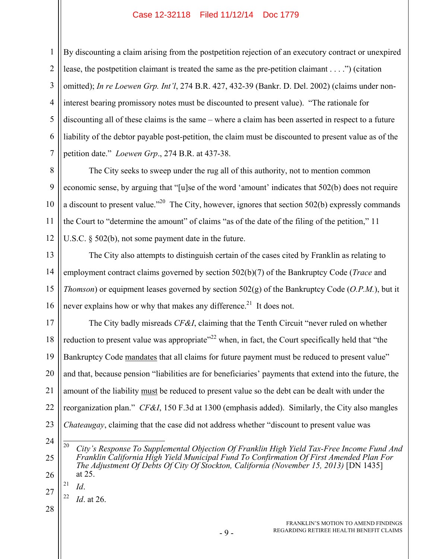1 2 3 4 5 6 7 By discounting a claim arising from the postpetition rejection of an executory contract or unexpired lease, the postpetition claimant is treated the same as the pre-petition claimant . . . .") (citation omitted); *In re Loewen Grp. Int'l*, 274 B.R. 427, 432-39 (Bankr. D. Del. 2002) (claims under noninterest bearing promissory notes must be discounted to present value). "The rationale for discounting all of these claims is the same – where a claim has been asserted in respect to a future liability of the debtor payable post-petition, the claim must be discounted to present value as of the petition date." *Loewen Grp*., 274 B.R. at 437-38.

8 9 10 11 12 The City seeks to sweep under the rug all of this authority, not to mention common economic sense, by arguing that "[u]se of the word 'amount' indicates that 502(b) does not require a discount to present value."<sup>20</sup> The City, however, ignores that section 502(b) expressly commands the Court to "determine the amount" of claims "as of the date of the filing of the petition," 11 U.S.C. § 502(b), not some payment date in the future.

13 14 15 16 The City also attempts to distinguish certain of the cases cited by Franklin as relating to employment contract claims governed by section 502(b)(7) of the Bankruptcy Code (*Trace* and *Thomson*) or equipment leases governed by section 502(g) of the Bankruptcy Code (*O.P.M.*), but it never explains how or why that makes any difference.<sup>21</sup> It does not.

17 18 19 20 21 22 23 The City badly misreads *CF&I*, claiming that the Tenth Circuit "never ruled on whether reduction to present value was appropriate<sup> $22$ </sup> when, in fact, the Court specifically held that "the Bankruptcy Code mandates that all claims for future payment must be reduced to present value" and that, because pension "liabilities are for beneficiaries' payments that extend into the future, the amount of the liability must be reduced to present value so the debt can be dealt with under the reorganization plan." *CF&I*, 150 F.3d at 1300 (emphasis added). Similarly, the City also mangles *Chateaugay*, claiming that the case did not address whether "discount to present value was

- 24
- 25

26

 $\overline{20}$ City's Response To Supplemental Objection Of Franklin High Yield Tax-Free Income Fund And *Franklin California High Yield Municipal Fund To Confirmation Of First Amended Plan For The Adjustment Of Debts Of City Of Stockton, California (November 15, 2013)* [DN 1435] at 25.

27  $^{21}$  *Id*.

 $^{22}$  *Id.* at 26.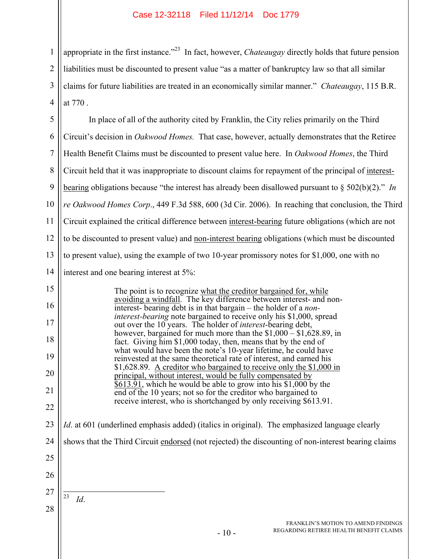1

2

3

4

appropriate in the first instance."23 In fact, however, *Chateaugay* directly holds that future pension liabilities must be discounted to present value "as a matter of bankruptcy law so that all similar claims for future liabilities are treated in an economically similar manner." *Chateaugay*, 115 B.R. at 770 .

5 6 7 8 9 10 11 12 13 14 15 16 17 18 19 20 21 22 23 24 25 26 27 28 - 10 - FRANKLIN'S MOTION TO AMEND FINDINGS REGARDING RETIREE HEALTH BENEFIT CLAIMS In place of all of the authority cited by Franklin, the City relies primarily on the Third Circuit's decision in *Oakwood Homes.* That case, however, actually demonstrates that the Retiree Health Benefit Claims must be discounted to present value here. In *Oakwood Homes*, the Third Circuit held that it was inappropriate to discount claims for repayment of the principal of interestbearing obligations because "the interest has already been disallowed pursuant to § 502(b)(2)." *In re Oakwood Homes Corp*., 449 F.3d 588, 600 (3d Cir. 2006). In reaching that conclusion, the Third Circuit explained the critical difference between interest-bearing future obligations (which are not to be discounted to present value) and non-interest bearing obligations (which must be discounted to present value), using the example of two 10-year promissory notes for \$1,000, one with no interest and one bearing interest at 5%: The point is to recognize what the creditor bargained for, while avoiding a windfall. The key difference between interest- and noninterest- bearing debt is in that bargain – the holder of a *noninterest-bearing* note bargained to receive only his \$1,000, spread out over the 10 years. The holder of *interest*-bearing debt, however, bargained for much more than the \$1,000 – \$1,628.89, in fact. Giving him \$1,000 today, then, means that by the end of what would have been the note's 10-year lifetime, he could have reinvested at the same theoretical rate of interest, and earned his \$1,628.89. A creditor who bargained to receive only the \$1,000 in principal, without interest, would be fully compensated by \$613.91, which he would be able to grow into his \$1,000 by the end of the 10 years; not so for the creditor who bargained to receive interest, who is shortchanged by only receiving \$613.91. *Id*. at 601 (underlined emphasis added) (italics in original). The emphasized language clearly shows that the Third Circuit endorsed (not rejected) the discounting of non-interest bearing claims  $\overline{23}$ 23 *Id*.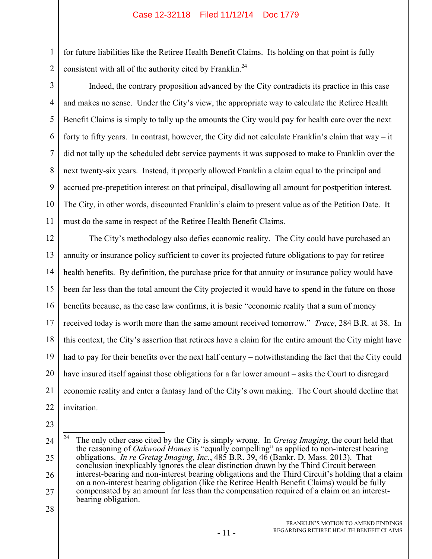for future liabilities like the Retiree Health Benefit Claims. Its holding on that point is fully consistent with all of the authority cited by Franklin.<sup>24</sup>

3 4 5 6 7 8 9 10 11 Indeed, the contrary proposition advanced by the City contradicts its practice in this case and makes no sense. Under the City's view, the appropriate way to calculate the Retiree Health Benefit Claims is simply to tally up the amounts the City would pay for health care over the next forty to fifty years. In contrast, however, the City did not calculate Franklin's claim that way – it did not tally up the scheduled debt service payments it was supposed to make to Franklin over the next twenty-six years. Instead, it properly allowed Franklin a claim equal to the principal and accrued pre-prepetition interest on that principal, disallowing all amount for postpetition interest. The City, in other words, discounted Franklin's claim to present value as of the Petition Date. It must do the same in respect of the Retiree Health Benefit Claims.

12 13 14 15 16 17 18 19 20 21 22 The City's methodology also defies economic reality. The City could have purchased an annuity or insurance policy sufficient to cover its projected future obligations to pay for retiree health benefits. By definition, the purchase price for that annuity or insurance policy would have been far less than the total amount the City projected it would have to spend in the future on those benefits because, as the case law confirms, it is basic "economic reality that a sum of money received today is worth more than the same amount received tomorrow." *Trace*, 284 B.R. at 38. In this context, the City's assertion that retirees have a claim for the entire amount the City might have had to pay for their benefits over the next half century – notwithstanding the fact that the City could have insured itself against those obligations for a far lower amount – asks the Court to disregard economic reality and enter a fantasy land of the City's own making. The Court should decline that invitation.

23

1

<sup>24</sup> 25 26 27 24 24 The only other case cited by the City is simply wrong. In *Gretag Imaging*, the court held that the reasoning of *Oakwood Homes* is "equally compelling" as applied to non-interest bearing obligations. *In re Gretag Imaging, Inc.*, 485 B.R. 39, 46 (Bankr. D. Mass. 2013). That conclusion inexplicably ignores the clear distinction drawn by the Third Circuit between interest-bearing and non-interest bearing obligations and the Third Circuit's holding that a claim on a non-interest bearing obligation (like the Retiree Health Benefit Claims) would be fully compensated by an amount far less than the compensation required of a claim on an interestbearing obligation.

<sup>28</sup>